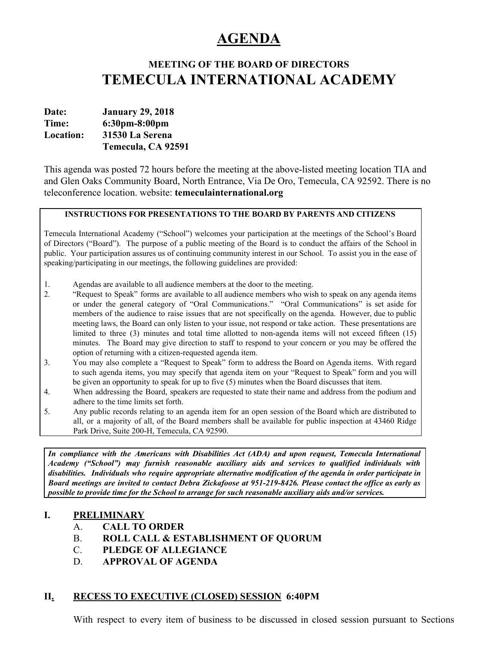# **AGENDA**

# **MEETING OF THE BOARD OF DIRECTORS TEMECULA INTERNATIONAL ACADEMY**

**Date: January 29, 2018 Time: 6:30pm-8:00pm Location: 31530 La Serena Temecula, CA 92591**

This agenda was posted 72 hours before the meeting at the above-listed meeting location TIA and and Glen Oaks Community Board, North Entrance, Via De Oro, Temecula, CA 92592. There is no teleconference location. website: **temeculainternational.org**

## **INSTRUCTIONS FOR PRESENTATIONS TO THE BOARD BY PARENTS AND CITIZENS**

Temecula International Academy ("School") welcomes your participation at the meetings of the School's Board of Directors ("Board"). The purpose of a public meeting of the Board is to conduct the affairs of the School in public. Your participation assures us of continuing community interest in our School. To assist you in the ease of speaking/participating in our meetings, the following guidelines are provided:

- 1. Agendas are available to all audience members at the door to the meeting.
- 2. "Request to Speak" forms are available to all audience members who wish to speak on any agenda items or under the general category of "Oral Communications." "Oral Communications" is set aside for members of the audience to raise issues that are not specifically on the agenda. However, due to public meeting laws, the Board can only listen to your issue, not respond or take action. These presentations are limited to three (3) minutes and total time allotted to non-agenda items will not exceed fifteen (15) minutes. The Board may give direction to staff to respond to your concern or you may be offered the option of returning with a citizen-requested agenda item.
- 3. You may also complete a "Request to Speak" form to address the Board on Agenda items. With regard to such agenda items, you may specify that agenda item on your "Request to Speak" form and you will be given an opportunity to speak for up to five (5) minutes when the Board discusses that item.
- 4. When addressing the Board, speakers are requested to state their name and address from the podium and adhere to the time limits set forth.
- 5. Any public records relating to an agenda item for an open session of the Board which are distributed to all, or a majority of all, of the Board members shall be available for public inspection at 43460 Ridge Park Drive, Suite 200-H, Temecula, CA 92590.

*In compliance with the Americans with Disabilities Act (ADA) and upon request, Temecula International Academy ("School") may furnish reasonable auxiliary aids and services to qualified individuals with disabilities. Individuals who require appropriate alternative modification of the agenda in order participate in* Board meetings are invited to contact Debra Zickafoose at 951-219-8426. Please contact the office as early as *possible to provide time for the School to arrange for such reasonable auxiliary aids and/or services.*

## **I. PRELIMINARY**

## A. **CALL TO ORDER**

- B. **ROLL CALL & ESTABLISHMENT OF QUORUM**
- C. **PLEDGE OF ALLEGIANCE**
- D. **APPROVAL OF AGENDA**

## **II. RECESS TO EXECUTIVE (CLOSED) SESSION 6:40PM**

With respect to every item of business to be discussed in closed session pursuant to Sections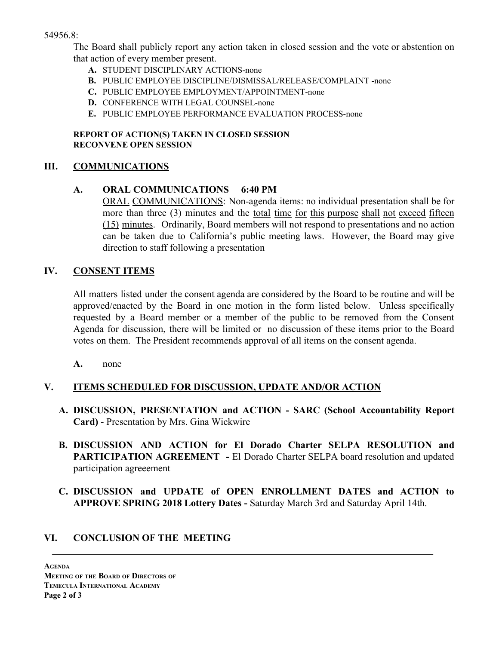## 54956.8:

The Board shall publicly report any action taken in closed session and the vote or abstention on that action of every member present.

- **A.** STUDENT DISCIPLINARY ACTIONS-none
- **B.** PUBLIC EMPLOYEE DISCIPLINE/DISMISSAL/RELEASE/COMPLAINT -none
- **C.** PUBLIC EMPLOYEE EMPLOYMENT/APPOINTMENT-none
- **D.** CONFERENCE WITH LEGAL COUNSEL-none
- **E.** PUBLIC EMPLOYEE PERFORMANCE EVALUATION PROCESS-none

## **REPORT OF ACTION(S) TAKEN IN CLOSED SESSION RECONVENE OPEN SESSION**

## **III. COMMUNICATIONS**

## **A. ORAL COMMUNICATIONS 6:40 PM**

ORAL COMMUNICATIONS: Non-agenda items: no individual presentation shall be for more than three (3) minutes and the total time for this purpose shall not exceed fifteen (15) minutes. Ordinarily, Board members will not respond to presentations and no action can be taken due to California's public meeting laws. However, the Board may give direction to staff following a presentation

## **IV. CONSENT ITEMS**

All matters listed under the consent agenda are considered by the Board to be routine and will be approved/enacted by the Board in one motion in the form listed below. Unless specifically requested by a Board member or a member of the public to be removed from the Consent Agenda for discussion, there will be limited or no discussion of these items prior to the Board votes on them. The President recommends approval of all items on the consent agenda.

**A.** none

# **V. ITEMS SCHEDULED FOR DISCUSSION, UPDATE AND/OR ACTION**

- **A. DISCUSSION, PRESENTATION and ACTION - SARC (School Accountability Report Card)** - Presentation by Mrs. Gina Wickwire
- **B. DISCUSSION AND ACTION for El Dorado Charter SELPA RESOLUTION and PARTICIPATION AGREEMENT -** El Dorado Charter SELPA board resolution and updated participation agreeement
- **C. DISCUSSION and UPDATE of OPEN ENROLLMENT DATES and ACTION to APPROVE SPRING 2018 Lottery Dates -** Saturday March 3rd and Saturday April 14th.

# **VI. CONCLUSION OF THE MEETING**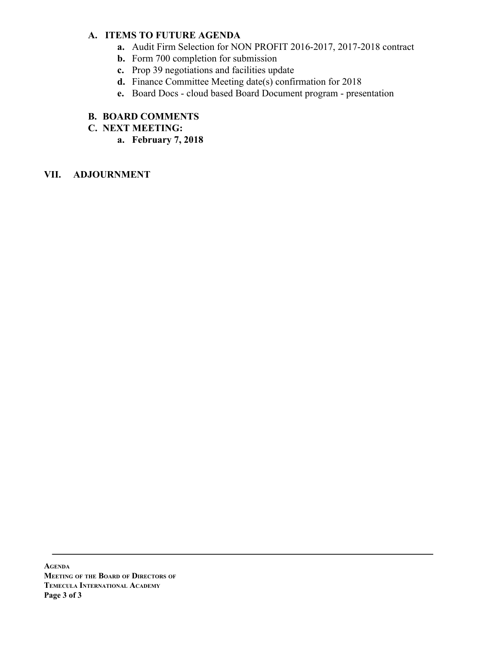## **A. ITEMS TO FUTURE AGENDA**

- **a.** Audit Firm Selection for NON PROFIT 2016-2017, 2017-2018 contract
- **b.** Form 700 completion for submission
- **c.** Prop 39 negotiations and facilities update
- **d.** Finance Committee Meeting date(s) confirmation for 2018
- **e.** Board Docs cloud based Board Document program presentation

## **B. BOARD COMMENTS**

- **C. NEXT MEETING:**
	- **a. February 7, 2018**

## **VII. ADJOURNMENT**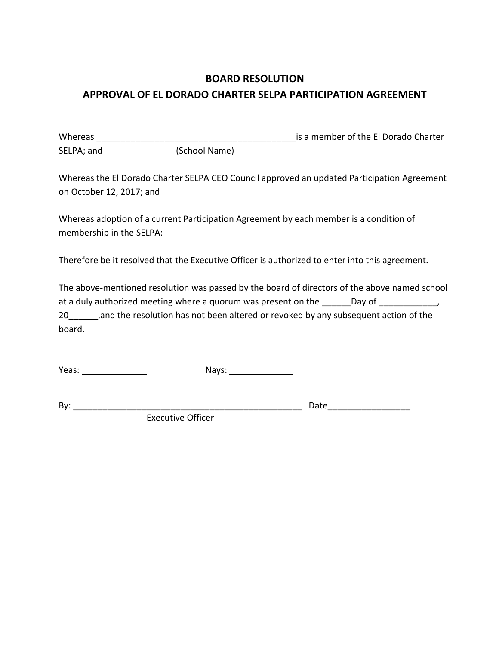# **BOARD RESOLUTION APPROVAL OF EL DORADO CHARTER SELPA PARTICIPATION AGREEMENT**

Whereas \_\_\_\_\_\_\_\_\_\_\_\_\_\_\_\_\_\_\_\_\_\_\_\_\_\_\_\_\_\_\_\_\_\_\_\_\_\_\_\_\_is a member of the El Dorado Charter SELPA; and (School Name)

Whereas the El Dorado Charter SELPA CEO Council approved an updated Participation Agreement on October 12, 2017; and

Whereas adoption of a current Participation Agreement by each member is a condition of membership in the SELPA:

Therefore be it resolved that the Executive Officer is authorized to enter into this agreement.

The above-mentioned resolution was passed by the board of directors of the above named school at a duly authorized meeting where a quorum was present on the \_\_\_\_\_\_Day of \_\_\_\_\_\_\_\_\_\_, 20 and the resolution has not been altered or revoked by any subsequent action of the board.

Yeas: Nays:

By: \_\_\_\_\_\_\_\_\_\_\_\_\_\_\_\_\_\_\_\_\_\_\_\_\_\_\_\_\_\_\_\_\_\_\_\_\_\_\_\_\_\_\_\_\_\_\_ Date\_\_\_\_\_\_\_\_\_\_\_\_\_\_\_\_\_

Executive Officer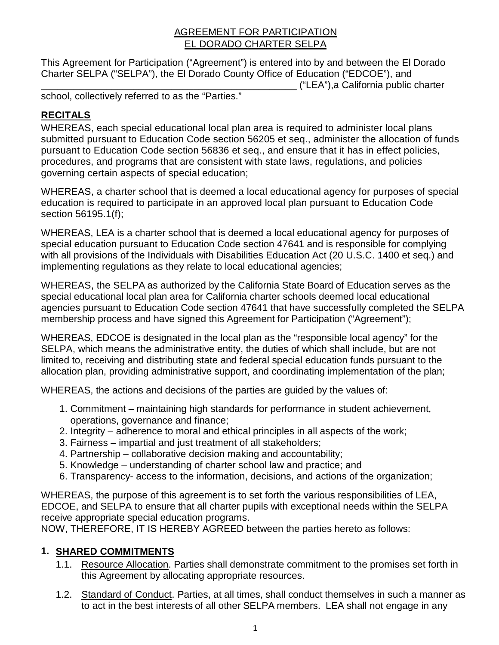# AGREEMENT FOR PARTICIPATION EL DORADO CHARTER SELPA

This Agreement for Participation ("Agreement") is entered into by and between the El Dorado Charter SELPA ("SELPA"), the El Dorado County Office of Education ("EDCOE"), and \_\_\_\_\_\_\_\_\_\_\_\_\_\_\_\_\_\_\_\_\_\_\_\_\_\_\_\_\_\_\_\_\_\_\_\_\_\_\_\_\_\_\_\_\_\_\_ ("LEA"),a California public charter

school, collectively referred to as the "Parties."

# **RECITALS**

WHEREAS, each special educational local plan area is required to administer local plans submitted pursuant to Education Code section 56205 et seq., administer the allocation of funds pursuant to Education Code section 56836 et seq., and ensure that it has in effect policies, procedures, and programs that are consistent with state laws, regulations, and policies governing certain aspects of special education;

WHEREAS, a charter school that is deemed a local educational agency for purposes of special education is required to participate in an approved local plan pursuant to Education Code section 56195.1(f);

WHEREAS, LEA is a charter school that is deemed a local educational agency for purposes of special education pursuant to Education Code section 47641 and is responsible for complying with all provisions of the Individuals with Disabilities Education Act (20 U.S.C. 1400 et seq.) and implementing regulations as they relate to local educational agencies;

WHEREAS, the SELPA as authorized by the California State Board of Education serves as the special educational local plan area for California charter schools deemed local educational agencies pursuant to Education Code section 47641 that have successfully completed the SELPA membership process and have signed this Agreement for Participation ("Agreement");

WHEREAS, EDCOE is designated in the local plan as the "responsible local agency" for the SELPA, which means the administrative entity, the duties of which shall include, but are not limited to, receiving and distributing state and federal special education funds pursuant to the allocation plan, providing administrative support, and coordinating implementation of the plan;

WHEREAS, the actions and decisions of the parties are guided by the values of:

- 1. Commitment maintaining high standards for performance in student achievement, operations, governance and finance;
- 2. Integrity adherence to moral and ethical principles in all aspects of the work;
- 3. Fairness impartial and just treatment of all stakeholders;
- 4. Partnership collaborative decision making and accountability;
- 5. Knowledge understanding of charter school law and practice; and
- 6. Transparency- access to the information, decisions, and actions of the organization;

WHEREAS, the purpose of this agreement is to set forth the various responsibilities of LEA, EDCOE, and SELPA to ensure that all charter pupils with exceptional needs within the SELPA receive appropriate special education programs.

NOW, THEREFORE, IT IS HEREBY AGREED between the parties hereto as follows:

# **1. SHARED COMMITMENTS**

- 1.1. Resource Allocation. Parties shall demonstrate commitment to the promises set forth in this Agreement by allocating appropriate resources.
- 1.2. Standard of Conduct. Parties, at all times, shall conduct themselves in such a manner as to act in the best interests of all other SELPA members. LEA shall not engage in any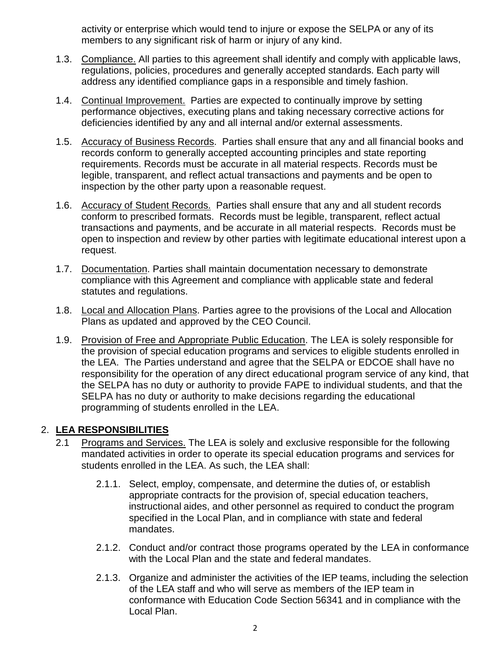activity or enterprise which would tend to injure or expose the SELPA or any of its members to any significant risk of harm or injury of any kind.

- 1.3. Compliance. All parties to this agreement shall identify and comply with applicable laws, regulations, policies, procedures and generally accepted standards. Each party will address any identified compliance gaps in a responsible and timely fashion.
- 1.4. Continual Improvement. Parties are expected to continually improve by setting performance objectives, executing plans and taking necessary corrective actions for deficiencies identified by any and all internal and/or external assessments.
- 1.5. Accuracy of Business Records. Parties shall ensure that any and all financial books and records conform to generally accepted accounting principles and state reporting requirements. Records must be accurate in all material respects. Records must be legible, transparent, and reflect actual transactions and payments and be open to inspection by the other party upon a reasonable request.
- 1.6. Accuracy of Student Records. Parties shall ensure that any and all student records conform to prescribed formats. Records must be legible, transparent, reflect actual transactions and payments, and be accurate in all material respects. Records must be open to inspection and review by other parties with legitimate educational interest upon a request.
- 1.7. Documentation. Parties shall maintain documentation necessary to demonstrate compliance with this Agreement and compliance with applicable state and federal statutes and regulations.
- 1.8. Local and Allocation Plans. Parties agree to the provisions of the Local and Allocation Plans as updated and approved by the CEO Council.
- 1.9. Provision of Free and Appropriate Public Education. The LEA is solely responsible for the provision of special education programs and services to eligible students enrolled in the LEA. The Parties understand and agree that the SELPA or EDCOE shall have no responsibility for the operation of any direct educational program service of any kind, that the SELPA has no duty or authority to provide FAPE to individual students, and that the SELPA has no duty or authority to make decisions regarding the educational programming of students enrolled in the LEA.

# 2. **LEA RESPONSIBILITIES**

- 2.1 Programs and Services. The LEA is solely and exclusive responsible for the following mandated activities in order to operate its special education programs and services for students enrolled in the LEA. As such, the LEA shall:
	- 2.1.1. Select, employ, compensate, and determine the duties of, or establish appropriate contracts for the provision of, special education teachers, instructional aides, and other personnel as required to conduct the program specified in the Local Plan, and in compliance with state and federal mandates.
	- 2.1.2. Conduct and/or contract those programs operated by the LEA in conformance with the Local Plan and the state and federal mandates.
	- 2.1.3. Organize and administer the activities of the IEP teams, including the selection of the LEA staff and who will serve as members of the IEP team in conformance with Education Code Section 56341 and in compliance with the Local Plan.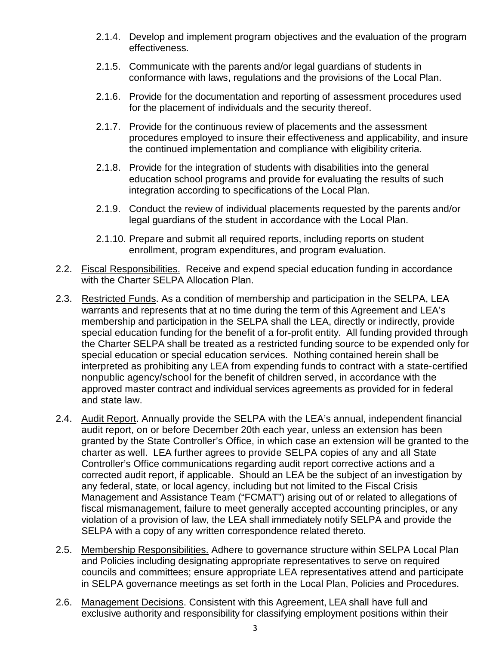- 2.1.4. Develop and implement program objectives and the evaluation of the program effectiveness.
- 2.1.5. Communicate with the parents and/or legal guardians of students in conformance with laws, regulations and the provisions of the Local Plan.
- 2.1.6. Provide for the documentation and reporting of assessment procedures used for the placement of individuals and the security thereof.
- 2.1.7. Provide for the continuous review of placements and the assessment procedures employed to insure their effectiveness and applicability, and insure the continued implementation and compliance with eligibility criteria.
- 2.1.8. Provide for the integration of students with disabilities into the general education school programs and provide for evaluating the results of such integration according to specifications of the Local Plan.
- 2.1.9. Conduct the review of individual placements requested by the parents and/or legal guardians of the student in accordance with the Local Plan.
- 2.1.10. Prepare and submit all required reports, including reports on student enrollment, program expenditures, and program evaluation.
- 2.2. Fiscal Responsibilities. Receive and expend special education funding in accordance with the Charter SELPA Allocation Plan.
- 2.3. Restricted Funds. As a condition of membership and participation in the SELPA, LEA warrants and represents that at no time during the term of this Agreement and LEA's membership and participation in the SELPA shall the LEA, directly or indirectly, provide special education funding for the benefit of a for-profit entity. All funding provided through the Charter SELPA shall be treated as a restricted funding source to be expended only for special education or special education services. Nothing contained herein shall be interpreted as prohibiting any LEA from expending funds to contract with a state-certified nonpublic agency/school for the benefit of children served, in accordance with the approved master contract and individual services agreements as provided for in federal and state law.
- 2.4. Audit Report. Annually provide the SELPA with the LEA's annual, independent financial audit report, on or before December 20th each year, unless an extension has been granted by the State Controller's Office, in which case an extension will be granted to the charter as well. LEA further agrees to provide SELPA copies of any and all State Controller's Office communications regarding audit report corrective actions and a corrected audit report, if applicable. Should an LEA be the subject of an investigation by any federal, state, or local agency, including but not limited to the Fiscal Crisis Management and Assistance Team ("FCMAT") arising out of or related to allegations of fiscal mismanagement, failure to meet generally accepted accounting principles, or any violation of a provision of law, the LEA shall immediately notify SELPA and provide the SELPA with a copy of any written correspondence related thereto.
- 2.5. Membership Responsibilities. Adhere to governance structure within SELPA Local Plan and Policies including designating appropriate representatives to serve on required councils and committees; ensure appropriate LEA representatives attend and participate in SELPA governance meetings as set forth in the Local Plan, Policies and Procedures.
- 2.6. Management Decisions. Consistent with this Agreement, LEA shall have full and exclusive authority and responsibility for classifying employment positions within their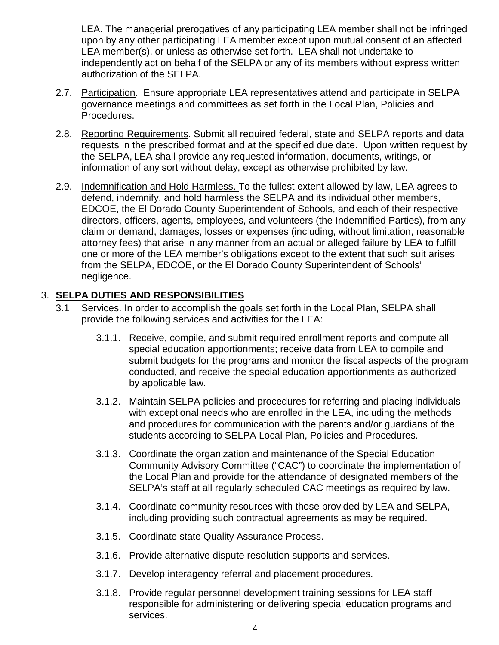LEA. The managerial prerogatives of any participating LEA member shall not be infringed upon by any other participating LEA member except upon mutual consent of an affected LEA member(s), or unless as otherwise set forth. LEA shall not undertake to independently act on behalf of the SELPA or any of its members without express written authorization of the SELPA.

- 2.7. Participation. Ensure appropriate LEA representatives attend and participate in SELPA governance meetings and committees as set forth in the Local Plan, Policies and Procedures.
- 2.8. Reporting Requirements. Submit all required federal, state and SELPA reports and data requests in the prescribed format and at the specified due date. Upon written request by the SELPA, LEA shall provide any requested information, documents, writings, or information of any sort without delay, except as otherwise prohibited by law.
- 2.9. Indemnification and Hold Harmless. To the fullest extent allowed by law, LEA agrees to defend, indemnify, and hold harmless the SELPA and its individual other members, EDCOE, the El Dorado County Superintendent of Schools, and each of their respective directors, officers, agents, employees, and volunteers (the Indemnified Parties), from any claim or demand, damages, losses or expenses (including, without limitation, reasonable attorney fees) that arise in any manner from an actual or alleged failure by LEA to fulfill one or more of the LEA member's obligations except to the extent that such suit arises from the SELPA, EDCOE, or the El Dorado County Superintendent of Schools' negligence.

# 3. **SELPA DUTIES AND RESPONSIBILITIES**

- 3.1 Services. In order to accomplish the goals set forth in the Local Plan, SELPA shall provide the following services and activities for the LEA:
	- 3.1.1. Receive, compile, and submit required enrollment reports and compute all special education apportionments; receive data from LEA to compile and submit budgets for the programs and monitor the fiscal aspects of the program conducted, and receive the special education apportionments as authorized by applicable law.
	- 3.1.2. Maintain SELPA policies and procedures for referring and placing individuals with exceptional needs who are enrolled in the LEA, including the methods and procedures for communication with the parents and/or guardians of the students according to SELPA Local Plan, Policies and Procedures.
	- 3.1.3. Coordinate the organization and maintenance of the Special Education Community Advisory Committee ("CAC") to coordinate the implementation of the Local Plan and provide for the attendance of designated members of the SELPA's staff at all regularly scheduled CAC meetings as required by law.
	- 3.1.4. Coordinate community resources with those provided by LEA and SELPA, including providing such contractual agreements as may be required.
	- 3.1.5. Coordinate state Quality Assurance Process.
	- 3.1.6. Provide alternative dispute resolution supports and services.
	- 3.1.7. Develop interagency referral and placement procedures.
	- 3.1.8. Provide regular personnel development training sessions for LEA staff responsible for administering or delivering special education programs and services.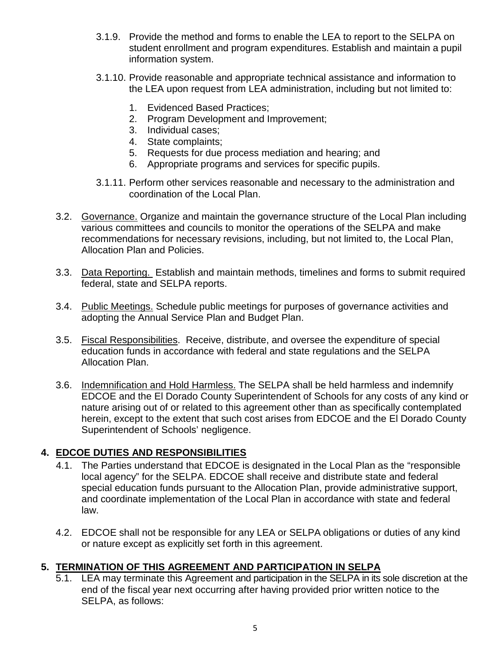- 3.1.9. Provide the method and forms to enable the LEA to report to the SELPA on student enrollment and program expenditures. Establish and maintain a pupil information system.
- 3.1.10. Provide reasonable and appropriate technical assistance and information to the LEA upon request from LEA administration, including but not limited to:
	- 1. Evidenced Based Practices;
	- 2. Program Development and Improvement;
	- 3. Individual cases;
	- 4. State complaints;
	- 5. Requests for due process mediation and hearing; and
	- 6. Appropriate programs and services for specific pupils.
- 3.1.11. Perform other services reasonable and necessary to the administration and coordination of the Local Plan.
- 3.2. Governance. Organize and maintain the governance structure of the Local Plan including various committees and councils to monitor the operations of the SELPA and make recommendations for necessary revisions, including, but not limited to, the Local Plan, Allocation Plan and Policies.
- 3.3. Data Reporting. Establish and maintain methods, timelines and forms to submit required federal, state and SELPA reports.
- 3.4. Public Meetings. Schedule public meetings for purposes of governance activities and adopting the Annual Service Plan and Budget Plan.
- 3.5. Fiscal Responsibilities. Receive, distribute, and oversee the expenditure of special education funds in accordance with federal and state regulations and the SELPA Allocation Plan.
- 3.6. Indemnification and Hold Harmless. The SELPA shall be held harmless and indemnify EDCOE and the El Dorado County Superintendent of Schools for any costs of any kind or nature arising out of or related to this agreement other than as specifically contemplated herein, except to the extent that such cost arises from EDCOE and the El Dorado County Superintendent of Schools' negligence.

# **4. EDCOE DUTIES AND RESPONSIBILITIES**

- 4.1. The Parties understand that EDCOE is designated in the Local Plan as the "responsible local agency" for the SELPA. EDCOE shall receive and distribute state and federal special education funds pursuant to the Allocation Plan, provide administrative support, and coordinate implementation of the Local Plan in accordance with state and federal law.
- 4.2. EDCOE shall not be responsible for any LEA or SELPA obligations or duties of any kind or nature except as explicitly set forth in this agreement.

# **5. TERMINATION OF THIS AGREEMENT AND PARTICIPATION IN SELPA**

5.1. LEA may terminate this Agreement and participation in the SELPA in its sole discretion at the end of the fiscal year next occurring after having provided prior written notice to the SELPA, as follows: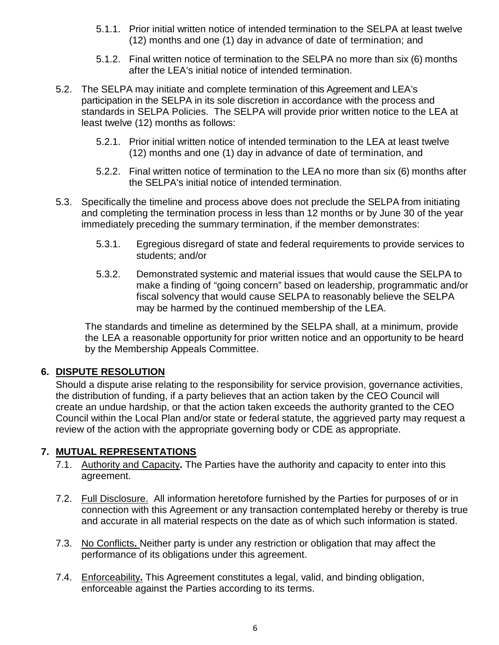- 5.1.1. Prior initial written notice of intended termination to the SELPA at least twelve (12) months and one (1) day in advance of date of termination; and
- 5.1.2. Final written notice of termination to the SELPA no more than six (6) months after the LEA's initial notice of intended termination.
- 5.2. The SELPA may initiate and complete termination of this Agreement and LEA's participation in the SELPA in its sole discretion in accordance with the process and standards in SELPA Policies. The SELPA will provide prior written notice to the LEA at least twelve (12) months as follows:
	- 5.2.1. Prior initial written notice of intended termination to the LEA at least twelve (12) months and one (1) day in advance of date of termination, and
	- 5.2.2. Final written notice of termination to the LEA no more than six (6) months after the SELPA's initial notice of intended termination.
- 5.3. Specifically the timeline and process above does not preclude the SELPA from initiating and completing the termination process in less than 12 months or by June 30 of the year immediately preceding the summary termination, if the member demonstrates:
	- 5.3.1. Egregious disregard of state and federal requirements to provide services to students; and/or
	- 5.3.2. Demonstrated systemic and material issues that would cause the SELPA to make a finding of "going concern" based on leadership, programmatic and/or fiscal solvency that would cause SELPA to reasonably believe the SELPA may be harmed by the continued membership of the LEA.

The standards and timeline as determined by the SELPA shall, at a minimum, provide the LEA a reasonable opportunity for prior written notice and an opportunity to be heard by the Membership Appeals Committee.

# **6. DISPUTE RESOLUTION**

Should a dispute arise relating to the responsibility for service provision, governance activities, the distribution of funding, if a party believes that an action taken by the CEO Council will create an undue hardship, or that the action taken exceeds the authority granted to the CEO Council within the Local Plan and/or state or federal statute, the aggrieved party may request a review of the action with the appropriate governing body or CDE as appropriate.

# **7. MUTUAL REPRESENTATIONS**

- 7.1. Authority and Capacity**.** The Parties have the authority and capacity to enter into this agreement.
- 7.2. Full Disclosure. All information heretofore furnished by the Parties for purposes of or in connection with this Agreement or any transaction contemplated hereby or thereby is true and accurate in all material respects on the date as of which such information is stated.
- 7.3. No Conflicts**.** Neither party is under any restriction or obligation that may affect the performance of its obligations under this agreement.
- 7.4. Enforceability**.** This Agreement constitutes a legal, valid, and binding obligation, enforceable against the Parties according to its terms.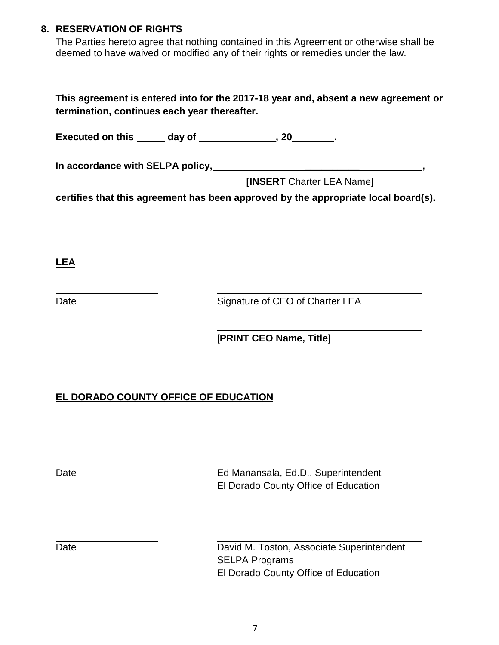# **8. RESERVATION OF RIGHTS**

The Parties hereto agree that nothing contained in this Agreement or otherwise shall be deemed to have waived or modified any of their rights or remedies under the law.

**This agreement is entered into for the 2017-18 year and, absent a new agreement or termination, continues each year thereafter.** 

**Executed on this day of the same of the set of**  $\overline{\phantom{a}}$ **, 20** .

**In accordance with SELPA policy, \_\_\_\_\_\_\_\_\_\_ ,**

**[INSERT** Charter LEA Name]

**certifies that this agreement has been approved by the appropriate local board(s).**

**LEA**

Date **Signature of CEO of Charter LEA** 

[**PRINT CEO Name, Title**]

# **EL DORADO COUNTY OFFICE OF EDUCATION**

Date **Ed Manansala, Ed.D., Superintendent** El Dorado County Office of Education

Date David M. Toston, Associate Superintendent SELPA Programs El Dorado County Office of Education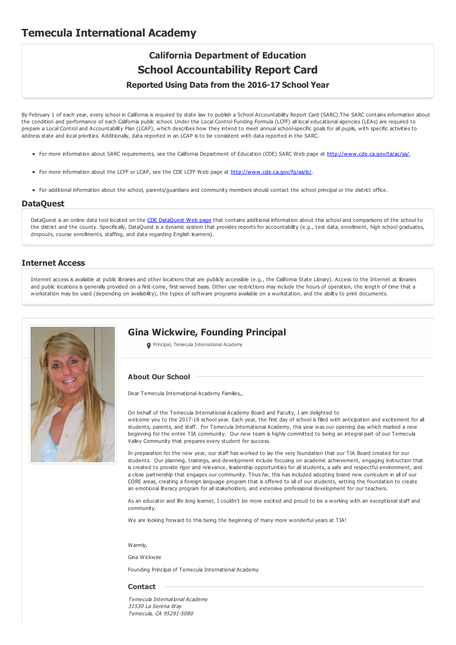# **Temecula International Academy**

# **California Department of Education School Accountability Report Card**

**Reported Using Data from the 2016-17 School Year**

By February 1 of each year, every school in California is required by state law to publish a School Accountability Report Card (SARC).The SARC contains information about the condition and performance of each California public school. Under the Local Control Funding Formula (LCFF) all local educational agencies (LEAs) are required to prepare a Local Control and Accountability Plan (LCAP), which describes how they intend to meet annual school-specific goals for all pupils, with specific activities to address state and local priorities. Additionally, data reported in an LCAP is to be consistent with data reported in the SARC.

- For more information about SARC requirements, see the California Department of Education (CDE) SARC Web page at <http://www.cde.ca.gov/ta/ac/sa/>.
- For more information about the LCFF or LCAP, see the CDE LCFF Web page at <http://www.cde.ca.gov/fg/aa/lc/>.
- For additional information about the school, parents/guardians and community members should contact the school principal or the district office.

#### **DataQuest**

[DataQuest](http://dq.cde.ca.gov/dataquest/) is an online data tool located on the CDE DataQuest Web page that contains additional information about this school and comparisons of the school to the district and the county. Specifically, DataQuest is a dynamic system that provides reports for accountability (e.g., test data, enrollment, high school graduates, dropouts, course enrollments, staffing, and data regarding English learners).

### **Internet Access**

Internet access is available at public libraries and other locations that are publicly accessible (e.g., the California State Library). Access to the Internet at libraries and public locations is generally provided on a first-come, first-served basis. Other use restrictions may include the hours of operation, the length of time that a workstation may be used (depending on availability), the types of software programs available on a workstation, and the ability to print documents.



## **Gina Wickwire, Founding Principal**

**O** Principal, Temecula International Academy

### **About Our School**

Dear Temecula International Academy Families,,

On behalf of the Temecula International Academy Board and Faculty, I am delighted to welcome you to the 2017-18 school year. Each year, the first day of school is filled with anticipation and excitement for all students, parents, and staff. For Temecula International Academy, this year was our opening day which marked a new beginning for the entire TIA community. Our new team is highly committed to being an integral part of our Temecula Valley Community that prepares every student for success.

In preparation for the new year, our staff has worked to lay the very foundation that our TIA Board created for our students. Our planning, trainings, and development include focusing on academic achievement, engaging instruction that is created to provide rigor and relevance, leadership opportunities for all students, a safe and respectful environment, and a close partnership that engages our community. Thus far, this has included adopting brand new curriculum in all of our CORE areas, creating a foreign language program that is offered to all of our students, setting the foundation to create an emotional literacy program for all stakeholders, and extensive professional development for our teachers.

As an educator and life long learner, I couldn't be more excited and proud to be a working with an exceptional staff and community.

We are looking forward to this being the beginning of many more wonderful years at TIA!

Warm<sub>l</sub>

Gina Wickwire

Founding Principal of Temecula International Academy

#### **Contact**

Temecula International Academy 31530 La Serena Way Temecula, CA 95291-5080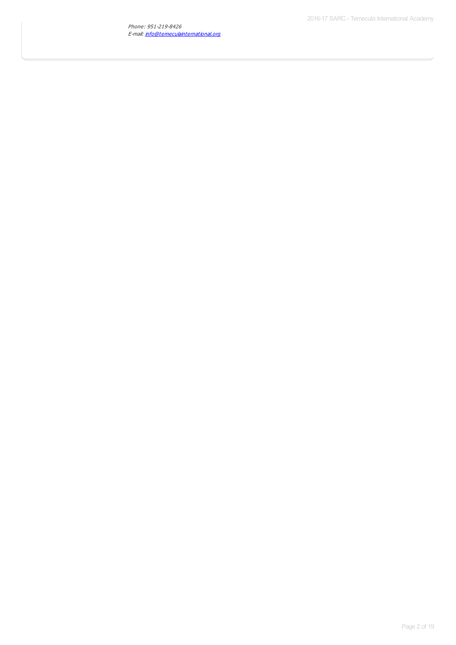Phone: 951-219-8426 E-mail: <u>[info@temeculainternational.org](mailto:info@temeculainternational.org)</u>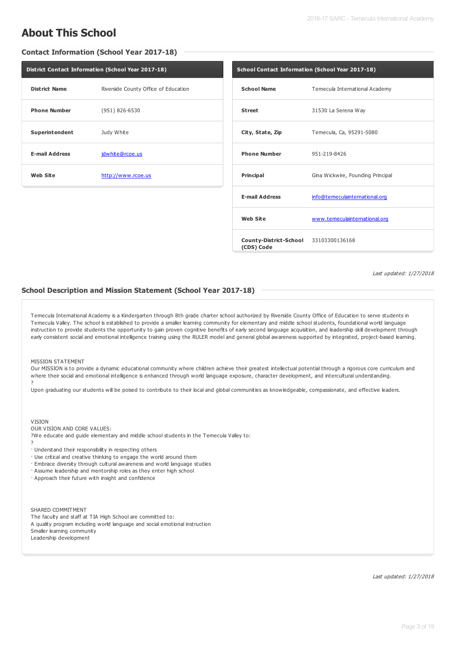# **About This School**

**Contact Information (School Year 2017-18)**

| District Contact Information (School Year 2017-18) |                                      |  |  |  |
|----------------------------------------------------|--------------------------------------|--|--|--|
| <b>District Name</b>                               | Riverside County Office of Education |  |  |  |
| <b>Phone Number</b>                                | (951) 826-6530                       |  |  |  |
| Superintendent                                     | Judy White                           |  |  |  |
| <b>E-mail Address</b>                              | jdwhite@rcoe.us                      |  |  |  |
| <b>Web Site</b>                                    | http://www.rcoe.us                   |  |  |  |

| School Contact Information (School Year 2017-18)    |                                   |  |  |  |
|-----------------------------------------------------|-----------------------------------|--|--|--|
| <b>School Name</b>                                  | Temecula International Academy    |  |  |  |
| <b>Street</b>                                       | 31530 La Serena Way               |  |  |  |
| City, State, Zip                                    | Temecula, Ca, 95291-5080          |  |  |  |
| <b>Phone Number</b>                                 | 951-219-8426                      |  |  |  |
| <b>Principal</b>                                    | Gina Wickwire, Founding Principal |  |  |  |
| <b>E-mail Address</b>                               | info@temeculainternational.org    |  |  |  |
| <b>Web Site</b>                                     | www.temeculainternational.org     |  |  |  |
| County-District-School 33103300136168<br>(CDS) Code |                                   |  |  |  |

Last updated: 1/27/2018

### **School Description and Mission Statement (School Year 2017-18)**

Temecula International Academy is a Kindergarten through 8th grade charter school authorized by Riverside County Office of Education to serve students in Temecula Valley. The school is established to provide a smaller learning community for elementary and middle school students, foundational world language instruction to provide students the opportunity to gain proven cognitive benefits of early second language acquisition, and leadership skill development through early consistent social and emotional intelligence training using the RULER model and general global awareness supported by integrated, project-based learning.

MISSION STATEMENT

Our MISSION is to provide a dynamic educational community where children achieve their greatest intellectual potential through a rigorous core curriculum and where their social and emotional intelligence is enhanced through world language exposure, character development, and intercultural understanding. ?

Upon graduating our students will be poised to contribute to their local and global communities as knowledgeable, compassionate, and effective leaders.

#### VISION

OUR VISION AND CORE VALUES:

?We educate and guide elementary and middle school students in the Temecula Valley to: ?

· Understand their responsibility in respecting others

· Use critical and creative thinking to engage the world around them

- · Embrace diversity through cultural awareness and world language studies
- · Assume leadership and mentorship roles as they enter high school

· Approach their future with insight and confidence

SHARED COMMITMENT The faculty and staff at TIA High School are committed to: A quality program including world language and social emotional instruction Smaller learning community Leadership development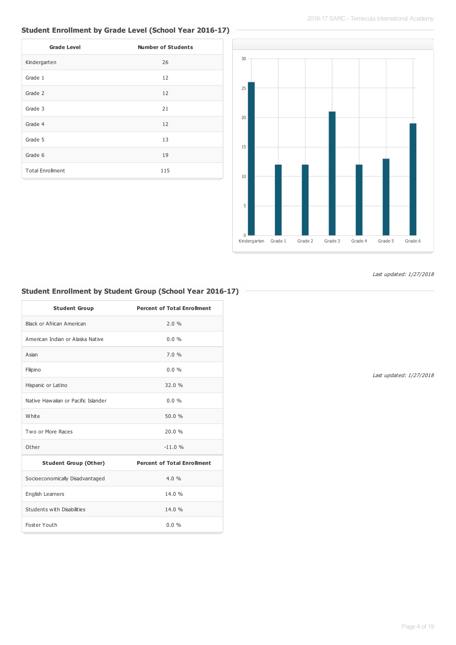## **Student Enrollment by Grade Level (School Year 2016-17)**

| <b>Grade Level</b>      | <b>Number of Students</b> |
|-------------------------|---------------------------|
| Kindergarten            | 26                        |
| Grade 1                 | 12                        |
| Grade 2                 | 12                        |
| Grade 3                 | 21                        |
| Grade 4                 | 12                        |
| Grade 5                 | 13                        |
| Grade 6                 | 19                        |
| <b>Total Enrollment</b> | 115                       |



Last updated: 1/27/2018

## **Student Enrollment by Student Group (School Year 2016-17)**

| <b>Student Group</b>                | <b>Percent of Total Enrollment</b> |
|-------------------------------------|------------------------------------|
| Black or African American           | 2.0%                               |
| American Indian or Alaska Native    | $0.0\%$                            |
| Asian                               | 7.0%                               |
| Filipino                            | $0.0\%$                            |
| Hispanic or Latino                  | 32.0 %                             |
| Native Hawaiian or Pacific Islander | $0.0\%$                            |
| White                               | 50.0%                              |
| Two or More Races                   | 20.0%                              |
| Other                               | $-11.0%$                           |
| <b>Student Group (Other)</b>        | <b>Percent of Total Enrollment</b> |
| Socioeconomically Disadvantaged     | 4.0%                               |
| English Learners                    | 14.0 %                             |
| Students with Disabilities          | 14.0%                              |
| Foster Youth                        | 0.0%                               |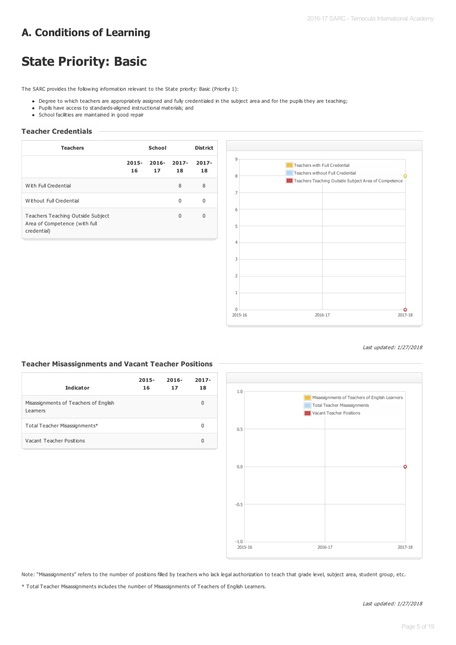# **A. Conditions of Learning**

# **State Priority: Basic**

The SARC provides the following information relevant to the State priority: Basic (Priority 1):

- Degree to which teachers are appropriately assigned and fully credentialed in the subject area and for the pupils they are teaching;
- Pupils have access to standards-aligned instructional materials; and
- School facilities are maintained in good repair

### **Teacher Credentials**

| <b>Teachers</b>                                                                   |                | School         |                | <b>District</b> |
|-----------------------------------------------------------------------------------|----------------|----------------|----------------|-----------------|
|                                                                                   | $2015 -$<br>16 | $2016 -$<br>17 | $2017 -$<br>18 | $2017 -$<br>18  |
| With Full Credential                                                              |                |                | 8              | 8               |
| Without Full Credential                                                           |                |                | 0              | O               |
| Teachers Teaching Outside Subject<br>Area of Competence (with full<br>credential) |                |                | $\Omega$       | 0               |



#### Last updated: 1/27/2018

### **Teacher Misassignments and Vacant Teacher Positions**

| <b>Indicator</b>                                  | $2015 -$<br>16 | $2016 -$<br>17 | $2017 -$<br>18 |
|---------------------------------------------------|----------------|----------------|----------------|
| Misassignments of Teachers of English<br>Learners |                |                | 0              |
| Total Teacher Misassignments*                     |                |                | 0              |
| Vacant Teacher Positions                          |                |                | 0              |



Note: "Misassignments" refers to the number of positions filled by teachers who lack legal authorization to teach that grade level, subject area, student group, etc.

\* Total Teacher Misassignments includes the number of Misassignments of Teachers of English Learners.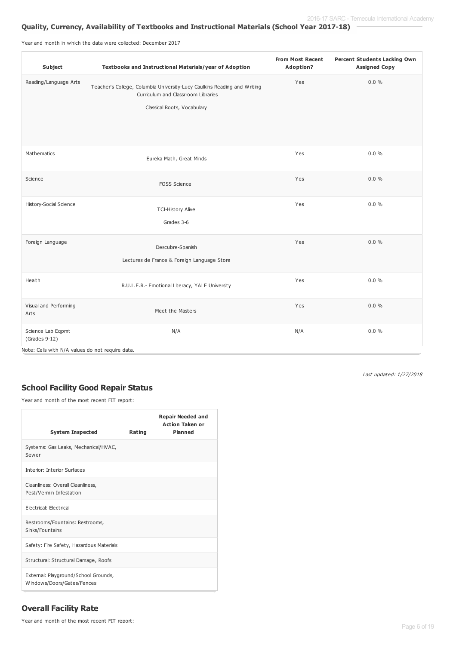## **Quality, Currency, Availability of Textbooks and Instructional Materials (School Year 2017-18)**

Year and month in which the data were collected: December 2017

| Subject                                                                                  | Textbooks and Instructional Materials/year of Adoption                                                                                         | <b>From Most Recent</b><br>Adoption? | <b>Percent Students Lacking Own</b><br><b>Assigned Copy</b> |
|------------------------------------------------------------------------------------------|------------------------------------------------------------------------------------------------------------------------------------------------|--------------------------------------|-------------------------------------------------------------|
| Reading/Language Arts                                                                    | Teacher's College, Columbia University-Lucy Caulkins Reading and Writing<br>Curriculum and Classrroom Libraries<br>Classical Roots, Vocabulary | Yes                                  | 0.0%                                                        |
|                                                                                          |                                                                                                                                                |                                      |                                                             |
| Mathematics                                                                              | Eureka Math, Great Minds                                                                                                                       | Yes                                  | $0.0 \%$                                                    |
| Science                                                                                  | <b>FOSS Science</b>                                                                                                                            | Yes                                  | $0.0 \%$                                                    |
| History-Social Science                                                                   | <b>TCI-History Alive</b><br>Grades 3-6                                                                                                         | Yes                                  | $0.0 \%$                                                    |
| Foreign Language                                                                         | Descubre-Spanish<br>Lectures de France & Foreign Language Store                                                                                | Yes                                  | $0.0 \%$                                                    |
| Health                                                                                   | R.U.L.E.R.- Emotional Literacy, YALE University                                                                                                | Yes                                  | 0.0%                                                        |
| Visual and Performing<br>Arts                                                            | Meet the Masters                                                                                                                               | Yes                                  | $0.0 \%$                                                    |
| Science Lab Eqpmt<br>$(Grades 9-12)$<br>Note: Cells with N/A values do not require data. | N/A                                                                                                                                            | N/A                                  | $0.0 \%$                                                    |

Last updated: 1/27/2018

## **School Facility Good Repair Status**

Year and month of the most recent FIT report:

Г

| <b>System Inspected</b>                                            | Rating | <b>Repair Needed and</b><br><b>Action Taken or</b><br><b>Planned</b> |
|--------------------------------------------------------------------|--------|----------------------------------------------------------------------|
| Systems: Gas Leaks, Mechanical/HVAC,<br>Sewer                      |        |                                                                      |
| <b>Interior: Interior Surfaces</b>                                 |        |                                                                      |
| Cleanliness: Overall Cleanliness,<br>Pest/Vermin Infestation       |        |                                                                      |
| Electrical: Electrical                                             |        |                                                                      |
| Restrooms/Fountains: Restrooms,<br>Sinks/Fountains                 |        |                                                                      |
| Safety: Fire Safety, Hazardous Materials                           |        |                                                                      |
| Structural: Structural Damage, Roofs                               |        |                                                                      |
| External: Playground/School Grounds,<br>Windows/Doors/Gates/Fences |        |                                                                      |

## **Overall Facility Rate**

Year and month of the most recent FIT report: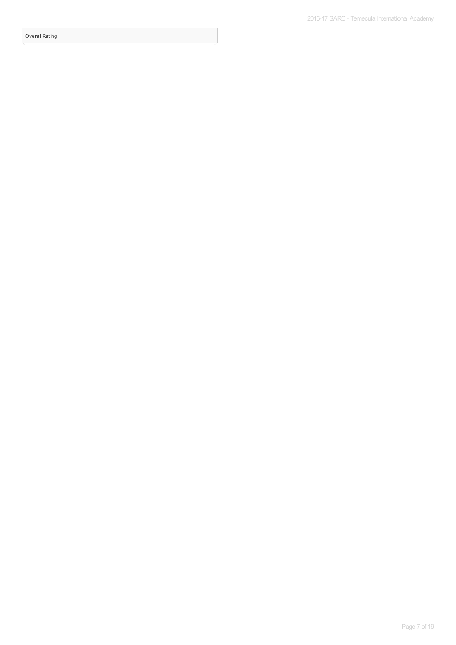Overall Rating

Year and month of the most recent FIT report: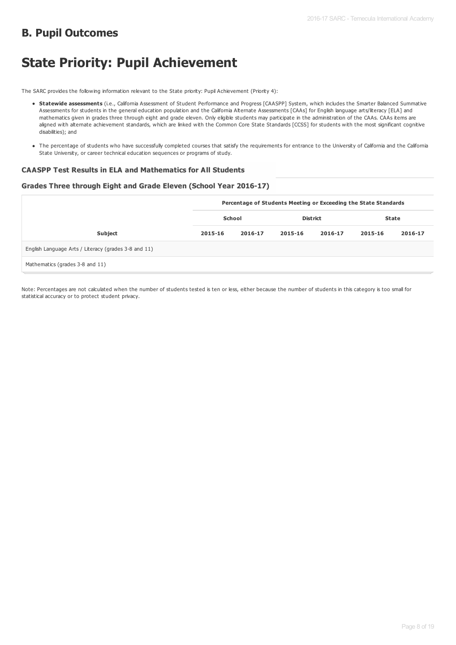# **B. Pupil Outcomes**

# **State Priority: Pupil Achievement**

The SARC provides the following information relevant to the State priority: Pupil Achievement (Priority 4):

- **Statewide assessments** (i.e., California Assessment of Student Performance and Progress [CAASPP] System, which includes the Smarter Balanced Summative Assessments for students in the general education population and the California Alternate Assessments [CAAs] for English language arts/literacy [ELA] and mathematics given in grades three through eight and grade eleven. Only eligible students may participate in the administration of the CAAs. CAAs items are aligned with alternate achievement standards, which are linked with the Common Core State Standards [CCSS] for students with the most significant cognitive disabilities); and
- The percentage of students who have successfully completed courses that satisfy the requirements for entrance to the University of California and the California State University, or career technical education sequences or programs of study.

### **CAASPP Test Results in ELA and Mathematics for All Students**

### **Grades Three through Eight and Grade Eleven (School Year 2016-17)**

|                                                      |         | Percentage of Students Meeting or Exceeding the State Standards |                 |         |              |         |  |  |
|------------------------------------------------------|---------|-----------------------------------------------------------------|-----------------|---------|--------------|---------|--|--|
|                                                      | School  |                                                                 | <b>District</b> |         | <b>State</b> |         |  |  |
| <b>Subject</b>                                       | 2015-16 | 2016-17                                                         | 2015-16         | 2016-17 | 2015-16      | 2016-17 |  |  |
| English Language Arts / Literacy (grades 3-8 and 11) |         |                                                                 |                 |         |              |         |  |  |
| Mathematics (grades 3-8 and 11)                      |         |                                                                 |                 |         |              |         |  |  |

Note: Percentages are not calculated when the number of students tested is ten or less, either because the number of students in this category is too small for statistical accuracy or to protect student privacy.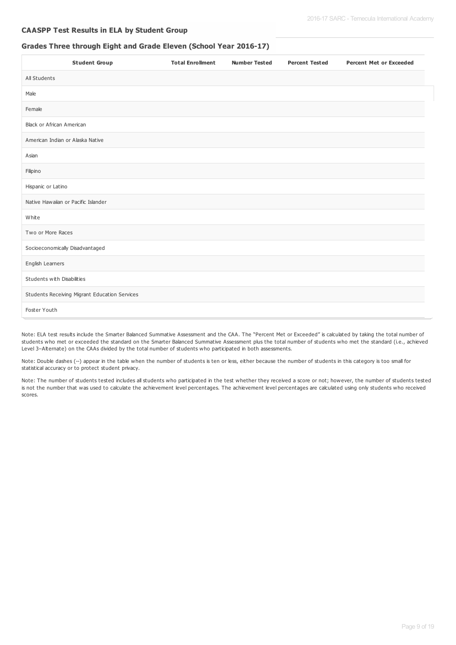### **CAASPP Test Results in ELA by Student Group**

### **Grades Three through Eight and Grade Eleven (School Year 2016-17)**

| <b>Student Group</b>                          | <b>Total Enrollment</b> | <b>Number Tested</b> | <b>Percent Tested</b> | <b>Percent Met or Exceeded</b> |
|-----------------------------------------------|-------------------------|----------------------|-----------------------|--------------------------------|
| All Students                                  |                         |                      |                       |                                |
| Male                                          |                         |                      |                       |                                |
| Female                                        |                         |                      |                       |                                |
| Black or African American                     |                         |                      |                       |                                |
| American Indian or Alaska Native              |                         |                      |                       |                                |
| Asian                                         |                         |                      |                       |                                |
| Filipino                                      |                         |                      |                       |                                |
| Hispanic or Latino                            |                         |                      |                       |                                |
| Native Hawaiian or Pacific Islander           |                         |                      |                       |                                |
| White                                         |                         |                      |                       |                                |
| Two or More Races                             |                         |                      |                       |                                |
| Socioeconomically Disadvantaged               |                         |                      |                       |                                |
| English Learners                              |                         |                      |                       |                                |
| Students with Disabilities                    |                         |                      |                       |                                |
| Students Receiving Migrant Education Services |                         |                      |                       |                                |
| Foster Youth                                  |                         |                      |                       |                                |

Note: ELA test results include the Smarter Balanced Summative Assessment and the CAA. The "Percent Met or Exceeded" is calculated by taking the total number of students who met or exceeded the standard on the Smarter Balanced Summative Assessment plus the total number of students who met the standard (i.e., achieved Level 3–Alternate) on the CAAs divided by the total number of students who participated in both assessments.

Note: Double dashes (--) appear in the table when the number of students is ten or less, either because the number of students in this category is too small for statistical accuracy or to protect student privacy.

Note: The number of students tested includes all students who participated in the test whether they received a score or not; however, the number of students tested is not the number that was used to calculate the achievement level percentages. The achievement level percentages are calculated using only students who received scores.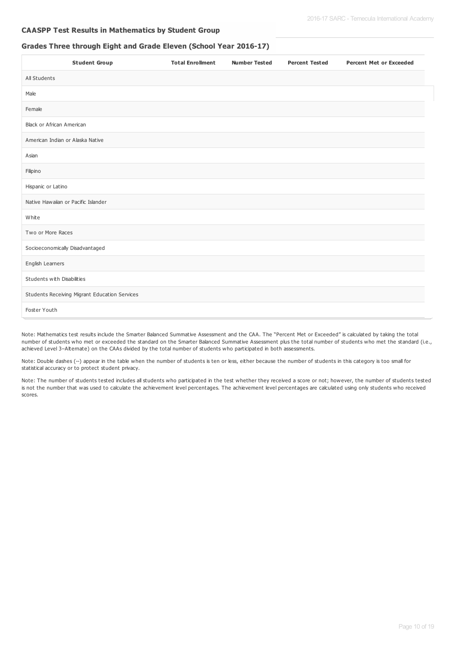### **CAASPP Test Results in Mathematics by Student Group**

## **Grades Three through Eight and Grade Eleven (School Year 2016-17)**

| <b>Student Group</b>                          | <b>Total Enrollment</b> | <b>Number Tested</b> | <b>Percent Tested</b> | <b>Percent Met or Exceeded</b> |
|-----------------------------------------------|-------------------------|----------------------|-----------------------|--------------------------------|
| All Students                                  |                         |                      |                       |                                |
| Male                                          |                         |                      |                       |                                |
| Female                                        |                         |                      |                       |                                |
| Black or African American                     |                         |                      |                       |                                |
| American Indian or Alaska Native              |                         |                      |                       |                                |
| Asian                                         |                         |                      |                       |                                |
| Filipino                                      |                         |                      |                       |                                |
| Hispanic or Latino                            |                         |                      |                       |                                |
| Native Hawaiian or Pacific Islander           |                         |                      |                       |                                |
| White                                         |                         |                      |                       |                                |
| Two or More Races                             |                         |                      |                       |                                |
| Socioeconomically Disadvantaged               |                         |                      |                       |                                |
| English Learners                              |                         |                      |                       |                                |
| Students with Disabilities                    |                         |                      |                       |                                |
| Students Receiving Migrant Education Services |                         |                      |                       |                                |
| Foster Youth                                  |                         |                      |                       |                                |

Note: Mathematics test results include the Smarter Balanced Summative Assessment and the CAA. The "Percent Met or Exceeded" is calculated by taking the total number of students who met or exceeded the standard on the Smarter Balanced Summative Assessment plus the total number of students who met the standard (i.e., achieved Level 3–Alternate) on the CAAs divided by the total number of students who participated in both assessments.

Note: Double dashes (--) appear in the table when the number of students is ten or less, either because the number of students in this category is too small for statistical accuracy or to protect student privacy.

Note: The number of students tested includes all students who participated in the test whether they received a score or not; however, the number of students tested is not the number that was used to calculate the achievement level percentages. The achievement level percentages are calculated using only students who received scores.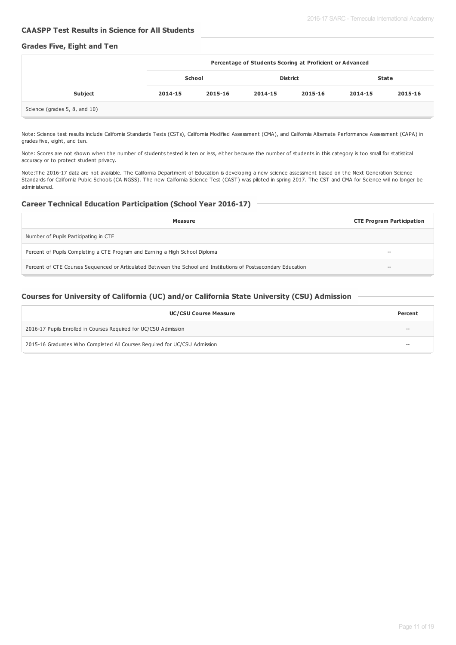### **CAASPP Test Results in Science for All Students**

### **Grades Five, Eight and Ten**

|                               | Percentage of Students Scoring at Proficient or Advanced |         |                 |         |              |         |
|-------------------------------|----------------------------------------------------------|---------|-----------------|---------|--------------|---------|
|                               | School                                                   |         | <b>District</b> |         | <b>State</b> |         |
| <b>Subject</b>                | 2014-15                                                  | 2015-16 | 2014-15         | 2015-16 | 2014-15      | 2015-16 |
| Science (grades 5, 8, and 10) |                                                          |         |                 |         |              |         |

Note: Science test results include California Standards Tests (CSTs), California Modified Assessment (CMA), and California Alternate Performance Assessment (CAPA) in grades five, eight, and ten.

Note: Scores are not shown when the number of students tested is ten or less, either because the number of students in this category is too small for statistical accuracy or to protect student privacy.

Note:The 2016-17 data are not available. The California Department of Education is developing a new science assessment based on the Next Generation Science Standards for California Public Schools (CA NGSS). The new California Science Test (CAST) was piloted in spring 2017. The CST and CMA for Science will no longer be administered.

#### **Career Technical Education Participation (School Year 2016-17)**

| Measure                                                                                                        | <b>CTE Program Participation</b> |
|----------------------------------------------------------------------------------------------------------------|----------------------------------|
| Number of Pupils Participating in CTE                                                                          |                                  |
| Percent of Pupils Completing a CTE Program and Earning a High School Diploma                                   | --                               |
| Percent of CTE Courses Sequenced or Articulated Between the School and Institutions of Postsecondary Education | $\overline{\phantom{a}}$         |

### **Courses for University of California (UC) and/or California State University (CSU) Admission**

| <b>UC/CSU Course Measure</b>                                              | Percent |
|---------------------------------------------------------------------------|---------|
| 2016-17 Pupils Enrolled in Courses Required for UC/CSU Admission          | $- -$   |
| 2015-16 Graduates Who Completed All Courses Required for UC/CSU Admission | $- -$   |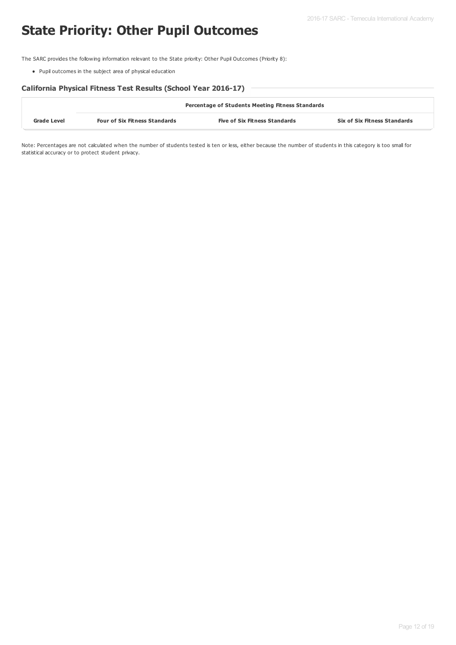# **State Priority: Other Pupil Outcomes**

The SARC provides the following information relevant to the State priority: Other Pupil Outcomes (Priority 8):

Pupil outcomes in the subject area of physical education

### **California Physical Fitness Test Results (School Year 2016-17)**

|                    | <b>Percentage of Students Meeting Fitness Standards</b> |                                      |                                     |  |  |  |
|--------------------|---------------------------------------------------------|--------------------------------------|-------------------------------------|--|--|--|
| <b>Grade Level</b> | <b>Four of Six Fitness Standards</b>                    | <b>Five of Six Fitness Standards</b> | <b>Six of Six Fitness Standards</b> |  |  |  |

Note: Percentages are not calculated when the number of students tested is ten or less, either because the number of students in this category is too small for statistical accuracy or to protect student privacy.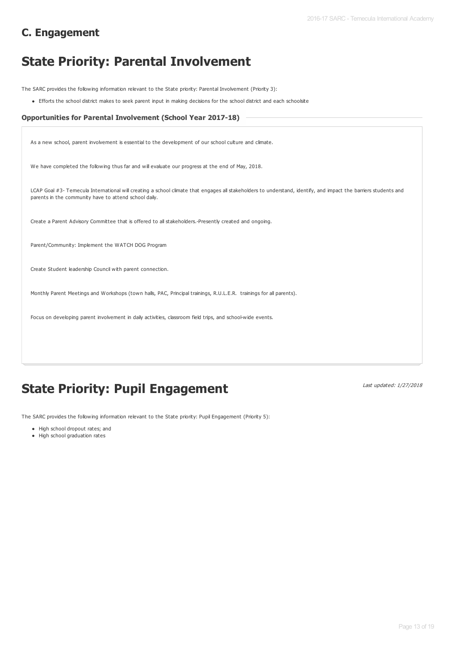# **C. Engagement**

# **State Priority: Parental Involvement**

The SARC provides the following information relevant to the State priority: Parental Involvement (Priority 3):

Efforts the school district makes to seek parent input in making decisions for the school district and each schoolsite

#### **Opportunities for Parental Involvement (School Year 2017-18)**

As a new school, parent involvement is essential to the development of our school culture and climate.

We have completed the following thus far and will evaluate our progress at the end of May, 2018.

LCAP Goal #3- Temecula International will creating a school climate that engages all stakeholders to understand, identify, and impact the barriers students and parents in the community have to attend school daily.

Create a Parent Advisory Committee that is offered to all stakeholders.-Presently created and ongoing.

Parent/Community: Implement the WATCH DOG Program

Create Student leadership Council with parent connection.

Monthly Parent Meetings and Workshops (town halls, PAC, Principal trainings, R.U.L.E.R. trainings for all parents).

Focus on developing parent involvement in daily activities, classroom field trips, and school-wide events.

# **State Priority: Pupil Engagement**

Last updated: 1/27/2018

The SARC provides the following information relevant to the State priority: Pupil Engagement (Priority 5):

- High school dropout rates; and
- High school graduation rates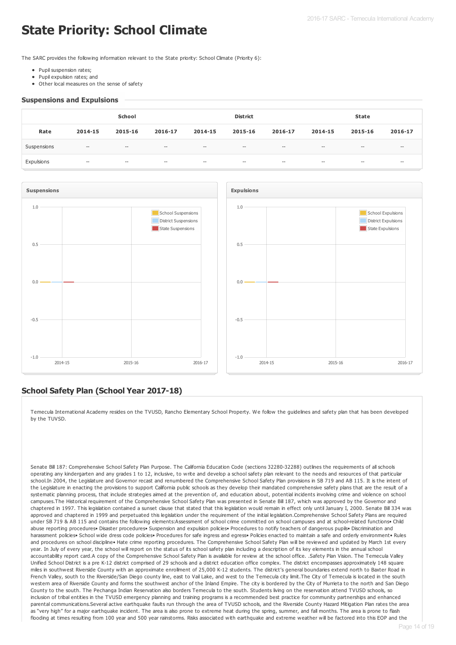# **State Priority: School Climate**

The SARC provides the following information relevant to the State priority: School Climate (Priority 6):

- Pupil suspension rates:
- Pupil expulsion rates; and
- Other local measures on the sense of safety

#### **Suspensions and Expulsions**

|             |              | School                                |                                       |                          | <b>District</b>                       |         |                                     | State                                          |                                       |
|-------------|--------------|---------------------------------------|---------------------------------------|--------------------------|---------------------------------------|---------|-------------------------------------|------------------------------------------------|---------------------------------------|
| Rate        | 2014-15      | 2015-16                               | 2016-17                               | 2014-15                  | 2015-16                               | 2016-17 | 2014-15                             | 2015-16                                        | 2016-17                               |
| Suspensions | $-\hbox{--}$ | $\hspace{0.05cm}$ – $\hspace{0.05cm}$ | $\hspace{0.05cm}$ – $\hspace{0.05cm}$ | $\overline{\phantom{m}}$ | $\hspace{0.05cm}$ – $\hspace{0.05cm}$ | $-\!$   | $\overline{\phantom{m}}$            | $\hspace{0.1mm}-\hspace{0.1mm}-\hspace{0.1mm}$ | $- -$                                 |
| Expulsions  | $-\!$        | $\overline{\phantom{m}}$              | $\hspace{0.05cm}$ – $\hspace{0.05cm}$ | $\hspace{0.04in}$        | $- -$                                 | $- -$   | $\hspace{0.04in}$ $\hspace{0.04in}$ | $- -$                                          | $\hspace{0.05cm}$ – $\hspace{0.05cm}$ |



## **School Safety Plan (School Year 2017-18)**

Temecula International Academy resides on the TVUSD, Rancho Elementary School Property. We follow the guidelines and safety plan that has been developed by the TUVSD.

Senate Bill 187: Comprehensive School Safety Plan Purpose. The California Education Code (sections 32280-32288) outlines the requirements of all schools operating any kindergarten and any grades 1 to 12, inclusive, to write and develop a school safety plan relevant to the needs and resources of that particular school.In 2004, the Legislature and Governor recast and renumbered the Comprehensive School Safety Plan provisions in SB 719 and AB 115. It is the intent of the Legislature in enacting the provisions to support California public schools as they develop their mandated comprehensive safety plans that are the result of a systematic planning process, that include strategies aimed at the prevention of, and education about, potential incidents involving crime and violence on school campuses.The Historical requirement of the Comprehensive School Safety Plan was presented in Senate Bill 187, which was approved by the Governor and chaptered in 1997. This legislation contained a sunset clause that stated that this legislation would remain in effect only until January I, 2000. Senate Bill 334 was approved and chaptered in 1999 and perpetuated this legislation under the requirement of the initial legislation.Comprehensive School Safety Plans are required under SB 719 & AB 115 and contains the following elements:Assessment of school crime committed on school campuses and at school-related functions• Child abuse reporting procedures• Disaster procedures• Suspension and expulsion policies• Procedures to notify teachers of dangerous pupils• Discrimination and harassment policies• School wide dress code policies• Procedures for safe ingress and egress• Policies enacted to maintain a safe and orderly environment• Rules and procedures on school discipline• Hate crime reporting procedures. The Comprehensive School Safety Plan will be reviewed and updated by March 1st every year. In July of every year, the school will report on the status of its school safety plan including a description of its key elements in the annual school accountability report card.A copy of the Comprehensive School Safety Plan is available for review at the school office. .Safety Plan Vision. The Temecula Valley Unified School District is a pre K-12 district comprised of 29 schools and a district education office complex. The district encompasses approximately 148 square miles in southwest Riverside County with an approximate enrollment of 25,000 K-12 students. The district's general boundaries extend north to Baxter Road in French Valley, south to the Riverside/San Diego county line, east to Vail Lake, and west to the Temecula city limit.The City of Temecula is located in the south western area of Riverside County and forms the southwest anchor of the Inland Empire. The city is bordered by the City of Murrieta to the north and San Diego County to the south. The Pechanga Indian Reservation also borders Temecula to the south. Students living on the reservation attend TVUSD schools, so inclusion of tribal entities in the TVUSD emergency planning and training programs is a recommended best practice for community partnerships and enhanced parental communications.Several active earthquake faults run through the area of TVUSD schools, and the Riverside County Hazard Mitigation Plan rates the area as "very high" for a major earthquake incident. The area is also prone to extreme heat during the spring, summer, and fall months. The area is prone to flash flooding at times resulting from 100 year and 500 year rainstorms. Risks associated with earthquake and extreme weather will be factored into this EOP and the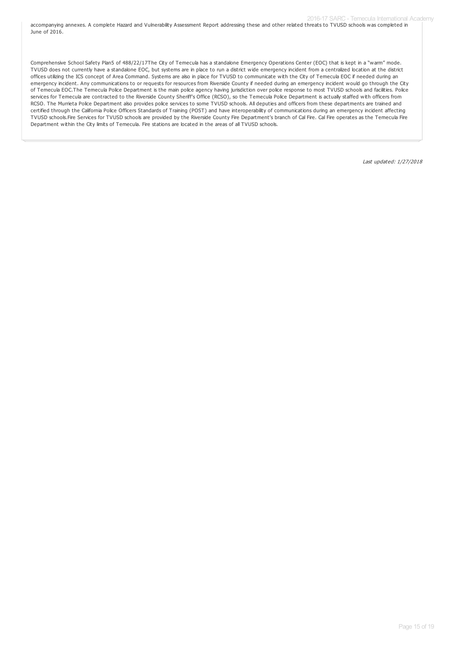accompanying annexes. A complete Hazard and Vulnerability Assessment Report addressing these and other related threats to TVUSD schools was completed in June of 2016.

Comprehensive School Safety Plan5 of 488/22/17The City of Temecula has a standalone Emergency Operations Center (EOC) that is kept in a "warm" mode. TVUSD does not currently have a standalone EOC, but systems are in place to run a district wide emergency incident from a centralized location at the district offices utilizing the ICS concept of Area Command. Systems are also in place for TVUSD to communicate with the City of Temecula EOC if needed during an emergency incident. Any communications to or requests for resources from Riverside County if needed during an emergency incident would go through the City of Temecula EOC.The Temecula Police Department is the main police agency having jurisdiction over police response to most TVUSD schools and facilities. Police services for Temecula are contracted to the Riverside County Sheriff's Office (RCSO), so the Temecula Police Department is actually staffed with officers from RCSO. The Murrieta Police Department also provides police services to some TVUSD schools. All deputies and officers from these departments are trained and certified through the California Police Officers Standards of Training (POST) and have interoperability of communications during an emergency incident affecting TVUSD schools.Fire Services for TVUSD schools are provided by the Riverside County Fire Department's branch of Cal Fire. Cal Fire operates as the Temecula Fire Department within the City limits of Temecula. Fire stations are located in the areas of all TVUSD schools.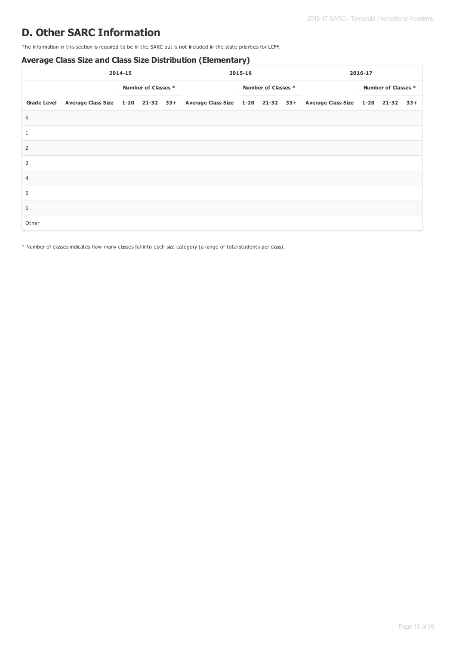# **D. Other SARC Information**

The information in this section is required to be in the SARC but is not included in the state priorities for LCFF.

## **Average Class Size and Class Size Distribution (Elementary)**

|                | 2014-15                                                                                                           |  | 2015-16             |  |  | 2016-17 |                     |  |  |                     |  |  |
|----------------|-------------------------------------------------------------------------------------------------------------------|--|---------------------|--|--|---------|---------------------|--|--|---------------------|--|--|
|                |                                                                                                                   |  | Number of Classes * |  |  |         | Number of Classes * |  |  | Number of Classes * |  |  |
|                | Grade Level Average Class Size 1-20 21-32 33+ Average Class Size 1-20 21-32 33+ Average Class Size 1-20 21-32 33+ |  |                     |  |  |         |                     |  |  |                     |  |  |
| K              |                                                                                                                   |  |                     |  |  |         |                     |  |  |                     |  |  |
| $\mathbf{1}$   |                                                                                                                   |  |                     |  |  |         |                     |  |  |                     |  |  |
| $\overline{2}$ |                                                                                                                   |  |                     |  |  |         |                     |  |  |                     |  |  |
| 3              |                                                                                                                   |  |                     |  |  |         |                     |  |  |                     |  |  |
| $\overline{4}$ |                                                                                                                   |  |                     |  |  |         |                     |  |  |                     |  |  |
| 5              |                                                                                                                   |  |                     |  |  |         |                     |  |  |                     |  |  |
| 6              |                                                                                                                   |  |                     |  |  |         |                     |  |  |                     |  |  |
| Other          |                                                                                                                   |  |                     |  |  |         |                     |  |  |                     |  |  |

\* Number of classes indicates how many classes fall into each size category (a range of total students per class).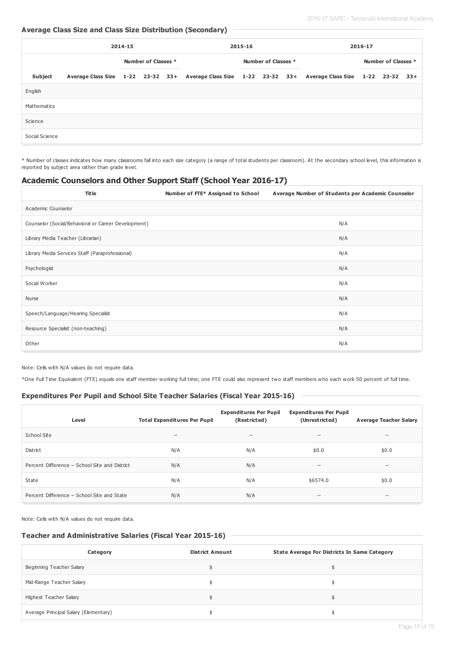## **Average Class Size and Class Size Distribution (Secondary)**

|                | 2014-15 |  |                     | 2015-16 |  |  | 2016-17             |  |                                                                                                   |  |                     |       |
|----------------|---------|--|---------------------|---------|--|--|---------------------|--|---------------------------------------------------------------------------------------------------|--|---------------------|-------|
|                |         |  | Number of Classes * |         |  |  | Number of Classes * |  |                                                                                                   |  | Number of Classes * |       |
| <b>Subject</b> |         |  |                     |         |  |  |                     |  | Average Class Size 1-22 23-32 33+ Average Class Size 1-22 23-32 33+ Average Class Size 1-22 23-32 |  |                     | $33+$ |
| English        |         |  |                     |         |  |  |                     |  |                                                                                                   |  |                     |       |
| Mathematics    |         |  |                     |         |  |  |                     |  |                                                                                                   |  |                     |       |
| Science        |         |  |                     |         |  |  |                     |  |                                                                                                   |  |                     |       |
| Social Science |         |  |                     |         |  |  |                     |  |                                                                                                   |  |                     |       |

\* Number of classes indicates how many classrooms fall into each size category (a range of total students per classroom). At the secondary school level, this information is reported by subject area rather than grade level.

### **Academic Counselors and Other Support Staff (School Year 2016-17)**

| <b>Title</b>                                        | Number of FTE* Assigned to School | Average Number of Students per Academic Counselor |
|-----------------------------------------------------|-----------------------------------|---------------------------------------------------|
| Academic Counselor                                  |                                   |                                                   |
| Counselor (Social/Behavioral or Career Development) |                                   | N/A                                               |
| Library Media Teacher (Librarian)                   |                                   | N/A                                               |
| Library Media Services Staff (Paraprofessional)     |                                   | N/A                                               |
| Psychologist                                        |                                   | N/A                                               |
| Social Worker                                       |                                   | N/A                                               |
| Nurse                                               |                                   | N/A                                               |
| Speech/Language/Hearing Specialist                  |                                   | N/A                                               |
| Resource Specialist (non-teaching)                  |                                   | N/A                                               |
| Other                                               |                                   | N/A                                               |

Note: Cells with N/A values do not require data.

\*One Full Time Equivalent (FTE) equals one staff member working full time; one FTE could also represent two staff members who each work 50 percent of full time.

## **Expenditures Per Pupil and School Site Teacher Salaries (Fiscal Year 2015-16)**

| Level                                         | <b>Total Expenditures Per Pupil</b>   | <b>Expenditures Per Pupil</b><br>(Restricted) | <b>Expenditures Per Pupil</b><br>(Unrestricted) | <b>Average Teacher Salary</b>         |
|-----------------------------------------------|---------------------------------------|-----------------------------------------------|-------------------------------------------------|---------------------------------------|
| School Site                                   | $\hspace{0.05cm}$ – $\hspace{0.05cm}$ | $- -$                                         | $\hspace{0.1mm}-\hspace{0.1mm}-\hspace{0.1mm}$  | $\hspace{0.05cm}$ – $\hspace{0.05cm}$ |
| District                                      | N/A                                   | N/A                                           | \$0.0                                           | \$0.0                                 |
| Percent Difference - School Site and District | N/A                                   | N/A                                           | $-\!$                                           | $- -$                                 |
| State                                         | N/A                                   | N/A                                           | \$6574.0                                        | \$0.0                                 |
| Percent Difference - School Site and State    | N/A                                   | N/A                                           | $\hspace{0.1mm}-\hspace{0.1mm}-\hspace{0.1mm}$  | $\hspace{0.05cm}$ – $\hspace{0.05cm}$ |

Note: Cells with N/A values do not require data.

#### **Teacher and Administrative Salaries (Fiscal Year 2015-16)**

| Category                              | <b>District Amount</b> | State Average For Districts In Same Category |
|---------------------------------------|------------------------|----------------------------------------------|
| Beginning Teacher Salary              |                        |                                              |
| Mid-Range Teacher Salary              |                        |                                              |
| Highest Teacher Salary                |                        |                                              |
| Average Principal Salary (Elementary) |                        |                                              |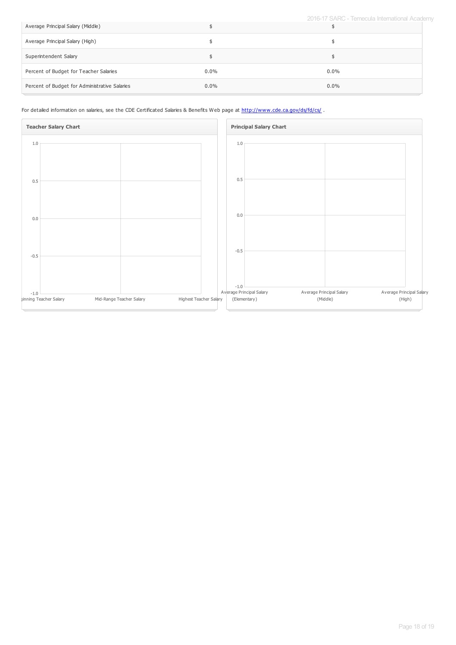2016-17 SARC - Temecula International Academy

| Average Principal Salary (Middle)             |         |         |
|-----------------------------------------------|---------|---------|
| Average Principal Salary (High)               |         |         |
| Superintendent Salary                         |         |         |
| Percent of Budget for Teacher Salaries        | $0.0\%$ | $0.0\%$ |
| Percent of Budget for Administrative Salaries | $0.0\%$ | $0.0\%$ |

For detailed information on salaries, see the CDE Certificated Salaries & Benefits Web page at <http://www.cde.ca.gov/ds/fd/cs/>.